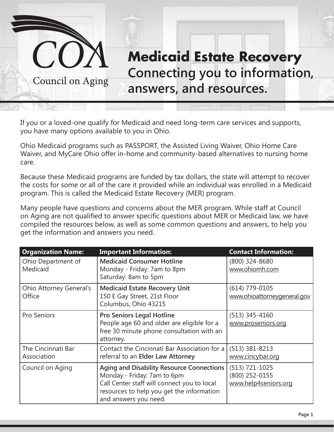

If you or a loved-one qualify for Medicaid and need long-term care services and supports, you have many options available to you in Ohio.

Ohio Medicaid programs such as PASSPORT, the Assisted Living Waiver, Ohio Home Care Waiver, and MyCare Ohio offer in-home and community-based alternatives to nursing home care.

Because these Medicaid programs are funded by tax dollars, the state will attempt to recover the costs for some or all of the care it provided while an individual was enrolled in a Medicaid program. This is called the Medicaid Estate Recovery (MER) program.

Many people have questions and concerns about the MER program. While staff at Council on Aging are not qualified to answer specific questions about MER or Medicaid law, we have compiled the resources below, as well as some common questions and answers, to help you get the information and answers you need.

| <b>Organization Name:</b>                | <b>Important Information:</b>                                                                                                                                                                 | <b>Contact Information:</b>                                  |
|------------------------------------------|-----------------------------------------------------------------------------------------------------------------------------------------------------------------------------------------------|--------------------------------------------------------------|
| Ohio Department of<br>Medicaid           | <b>Medicaid Consumer Hotline</b><br>Monday - Friday: 7am to 8pm<br>Saturday: 8am to 5pm                                                                                                       | (800) 324-8680<br>www.ohiomh.com                             |
| <b>Ohio Attorney General's</b><br>Office | <b>Medicaid Estate Recovery Unit</b><br>150 E Gay Street, 21st Floor<br>Columbus, Ohio 43215                                                                                                  | $(614)$ 779-0105<br>www.ohioattorneygeneral.gov              |
| Pro Seniors                              | <b>Pro Seniors Legal Hotline</b><br>People age 60 and older are eligible for a<br>free 30 minute phone consultation with an<br>attorney.                                                      | $(513)$ 345-4160<br>www.proseniors.org                       |
| The Cincinnati Bar<br>Association        | Contact the Cincinnati Bar Association for a<br>referral to an Elder Law Attorney                                                                                                             | $(513)$ 381-8213<br>www.cincybar.org                         |
| Council on Aging                         | Aging and Disability Resource Connections<br>Monday - Friday: 7am to 6pm<br>Call Center staff will connect you to local<br>resources to help you get the information<br>and answers you need. | $(513) 721 - 1025$<br>(800) 252-0155<br>www.help4seniors.org |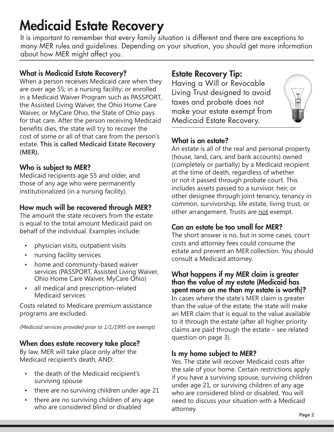# Medicaid Estate Recovery

It is important to remember that every family situation is different and there are exceptions to many MER rules and guidelines. Depending on your situation, you should get more information about how MER might affect you.

## What is Medicaid Estate Recovery?

When a person receives Medicaid care when they are over age 55; in a nursing facility; or enrolled in a Medicaid Waiver Program such as PASSPORT, the Assisted Living Waiver, the Ohio Home Care Waiver, or MyCare Ohio, the State of Ohio pays for that care. After the person receiving Medicaid benefits dies, the state will try to recover the cost of some or all of that care from the person's estate. **This is called Medicaid Estate Recovery (MER).**

#### Who is subject to MER?

Medicaid recipients age 55 and older, and those of any age who were permanently institutionalized (in a nursing facility).

# How much will be recovered through MER?

The amount the state recovers from the estate is equal to the total amount Medicaid paid on behalf of the individual. Examples include:

- physician visits, outpatient visits
- nursing facility services
- home and community-based waiver services (PASSPORT, Assisted Living Waiver, Ohio Home Care Waiver, MyCare Ohio)
- all medical and prescription-related Medicaid services

Costs related to Medicare premium assistance programs are excluded.

*(Medicaid services provided prior to 1/1/1995 are exempt)* 

# When does estate recovery take place?

By law, MER will take place only after the Medicaid recipient's death, AND:

- the death of the Medicaid recipient's surviving spouse
- there are no surviving children under age 21
- there are no surviving children of any age who are considered blind or disabled

# Estate Recovery Tip:

Having a Will or Revocable Living Trust designed to avoid taxes and probate does not make your estate exempt from Medicaid Estate Recovery.



# What is an estate?

An estate is all of the real and personal property (house, land, cars, and bank accounts) owned (completely or partially) by a Medicaid recipient at the time of death, regardless of whether or not it passed through probate court. This includes assets passed to a survivor, heir, or other designee through joint tenancy, tenancy in common, survivorship, life estate, living trust, or other arrangement. Trusts are not exempt.

# Can an estate be too small for MER?

The short answer is no, but in some cases, court costs and attorney fees could consume the estate and prevent an MER collection. You should consult a Medicaid attorney.

#### What happens if my MER claim is greater than the value of my estate (Medicaid has spent more on me than my estate is worth)?

In cases where the state's MER claim is greater than the value of the estate, the state will make an MER claim that is equal to the value available to it through the estate (after all higher priority claims are paid through the estate – see related question on page 3).

#### Is my home subject to MER?

Yes. The state will recover Medicaid costs after the sale of your home. Certain restrictions apply if you have a surviving spouse, surviving children under age 21, or surviving children of any age who are considered blind or disabled. You will need to discuss your situation with a Medicaid attorney.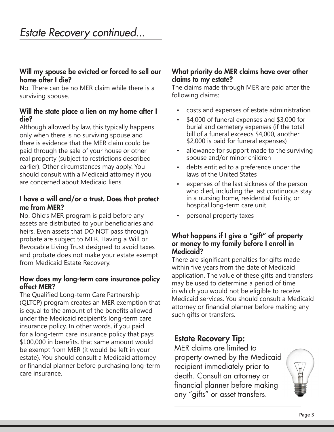#### Will my spouse be evicted or forced to sell our home after I die?

No. There can be no MER claim while there is a surviving spouse.

#### Will the state place a lien on my home after I die?

Although allowed by law, this typically happens only when there is no surviving spouse and there is evidence that the MER claim could be paid through the sale of your house or other real property (subject to restrictions described earlier). Other circumstances may apply. You should consult with a Medicaid attorney if you are concerned about Medicaid liens.

#### I have a will and/or a trust. Does that protect me from MER?

No. Ohio's MER program is paid before any assets are distributed to your beneficiaries and heirs. Even assets that DO NOT pass through probate are subject to MER. Having a Will or Revocable Living Trust designed to avoid taxes and probate does not make your estate exempt from Medicaid Estate Recovery.

#### How does my long-term care insurance policy affect MER?

The Qualified Long-term Care Partnership (QLTCP) program creates an MER exemption that is equal to the amount of the benefits allowed under the Medicaid recipient's long-term care insurance policy. In other words, if you paid for a long-term care insurance policy that pays \$100,000 in benefits, that same amount would be exempt from MER (it would be left in your estate). You should consult a Medicaid attorney or financial planner before purchasing long-term care insurance.

#### What priority do MER claims have over other claims to my estate?

The claims made through MER are paid after the following claims:

- costs and expenses of estate administration
- \$4,000 of funeral expenses and \$3,000 for burial and cemetery expenses (if the total bill of a funeral exceeds \$4,000, another \$2,000 is paid for funeral expenses)
- allowance for support made to the surviving spouse and/or minor children
- debts entitled to a preference under the laws of the United States
- expenses of the last sickness of the person who died, including the last continuous stay in a nursing home, residential facility, or hospital long-term care unit
- personal property taxes

#### What happens if I give a "gift" of property or money to my family before I enroll in Medicaid?

There are significant penalties for gifts made within five years from the date of Medicaid application. The value of these gifts and transfers may be used to determine a period of time in which you would not be eligible to receive Medicaid services. You should consult a Medicaid attorney or financial planner before making any such gifts or transfers.

# Estate Recovery Tip:

MER claims are limited to property owned by the Medicaid recipient immediately prior to death. Consult an attorney or financial planner before making any "gifts" or asset transfers.